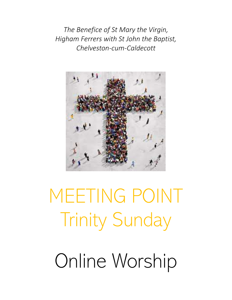*The Benefice of St Mary the Virgin, Higham Ferrers with St John the Baptist, Chelveston-cum-Caldecott*



MEETING POINT Trinity Sunday Online Worship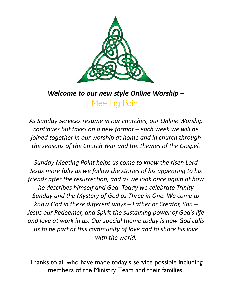

# *Welcome to our new style Online Worship –* Meeting Point

*As Sunday Services resume in our churches, our Online Worship continues but takes on a new format – each week we will be joined together in our worship at home and in church through the seasons of the Church Year and the themes of the Gospel.*

*Sunday Meeting Point helps us come to know the risen Lord Jesus more fully as we follow the stories of his appearing to his friends after the resurrection, and as we look once again at how he describes himself and God. Today we celebrate Trinity Sunday and the Mystery of God as Three in One. We come to know God in these different ways – Father or Creator, Son – Jesus our Redeemer, and Spirit the sustaining power of God's life and love at work in us. Our special theme today is how God calls us to be part of this community of love and to share his love with the world.*

Thanks to all who have made today's service possible including members of the Ministry Team and their families.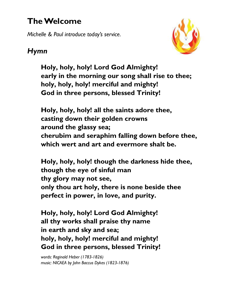# **The Welcome**

*Michelle & Paul introduce today's service.*



# *Hymn*

**Holy, holy, holy! Lord God Almighty! early in the morning our song shall rise to thee; holy, holy, holy! merciful and mighty! God in three persons, blessed Trinity!**

**Holy, holy, holy! all the saints adore thee, casting down their golden crowns around the glassy sea; cherubim and seraphim falling down before thee, which wert and art and evermore shalt be.**

**Holy, holy, holy! though the darkness hide thee, though the eye of sinful man thy glory may not see, only thou art holy, there is none beside thee perfect in power, in love, and purity.**

**Holy, holy, holy! Lord God Almighty! all thy works shall praise thy name in earth and sky and sea; holy, holy, holy! merciful and mighty! God in three persons, blessed Trinity!**

*words: Reginald Heber (1783-1826) music: NICAEA by John Baccus Dykes (1823-1876)*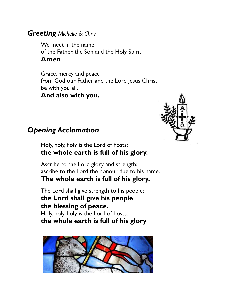#### *Greeting Michelle & Chris*

We meet in the name of the Father, the Son and the Holy Spirit. **Amen**

Grace, mercy and peace from God our Father and the Lord Jesus Christ be with you all. **And also with you.**



### *Opening Acclamation*

Holy, holy, holy is the Lord of hosts: **the whole earth is full of his glory.**

Ascribe to the Lord glory and strength; ascribe to the Lord the honour due to his name. **The whole earth is full of his glory.**

The Lord shall give strength to his people; **the Lord shall give his people the blessing of peace.** Holy, holy, holy is the Lord of hosts: **the whole earth is full of his glory**

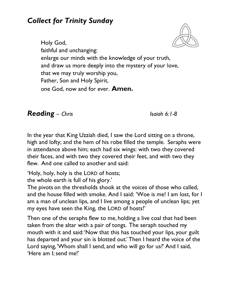# *Collect for Trinity Sunday*



Holy God, faithful and unchanging: enlarge our minds with the knowledge of your truth, and draw us more deeply into the mystery of your love, that we may truly worship you, Father, Son and Holy Spirit, one God, now and for ever. **Amen.**

*Reading – Chris Isaiah 6:1-8*

In the year that King Uzziah died, I saw the Lord sitting on a throne, high and lofty; and the hem of his robe filled the temple. Seraphs were in attendance above him; each had six wings: with two they covered their faces, and with two they covered their feet, and with two they flew. And one called to another and said:

'Holy, holy, holy is the LORD of hosts;

the whole earth is full of his glory.'

The pivots on the thresholds shook at the voices of those who called, and the house filled with smoke. And I said: 'Woe is me! I am lost, for I am a man of unclean lips, and I live among a people of unclean lips; yet my eyes have seen the King, the LORD of hosts!'

Then one of the seraphs flew to me, holding a live coal that had been taken from the altar with a pair of tongs. The seraph touched my mouth with it and said: 'Now that this has touched your lips, your guilt has departed and your sin is blotted out.' Then I heard the voice of the Lord saying, 'Whom shall I send, and who will go for us?' And I said, 'Here am I; send me!'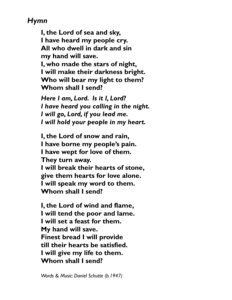# *Hymn*

**I, the Lord of sea and sky, I have heard my people cry. All who dwell in dark and sin my hand will save. I, who made the stars of night, I will make their darkness bright. Who will bear my light to them? Whom shall I send?**

*Here I am, Lord. Is it I, Lord? I have heard you calling in the night. I will go, Lord, if you lead me. I will hold your people in my heart.*

**I, the Lord of snow and rain, I have borne my people's pain. I have wept for love of them. They turn away. I will break their hearts of stone, give them hearts for love alone. I will speak my word to them. Whom shall I send?**

**I, the Lord of wind and flame, I will tend the poor and lame. I will set a feast for them. My hand will save. Finest bread I will provide till their hearts be satisfied. I will give my life to them. Whom shall I send?**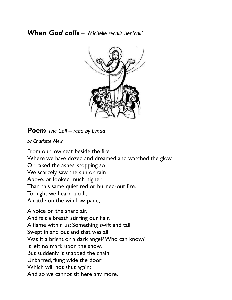#### *When God calls – Michelle recalls her 'call'*



*Poem The Call – read by Lynda* 

*by Charlotte Mew*

From our low seat beside the fire Where we have dozed and dreamed and watched the glow Or raked the ashes, stopping so We scarcely saw the sun or rain Above, or looked much higher Than this same quiet red or burned-out fire. To-night we heard a call, A rattle on the window-pane,

A voice on the sharp air, And felt a breath stirring our hair, A flame within us: Something swift and tall Swept in and out and that was all. Was it a bright or a dark angel? Who can know? It left no mark upon the snow, But suddenly it snapped the chain Unbarred, flung wide the door Which will not shut again; And so we cannot sit here any more.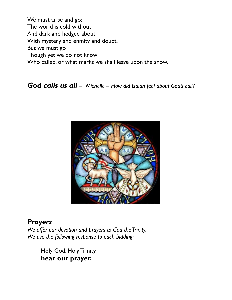We must arise and go: The world is cold without And dark and hedged about With mystery and enmity and doubt, But we must go Though yet we do not know Who called, or what marks we shall leave upon the snow.

*God calls us all – Michelle – How did Isaiah feel about God's call?*



## *Prayers*

*We offer our devotion and prayers to God the Trinity. We use the following response to each bidding:*

> Holy God, Holy Trinity **hear our prayer.**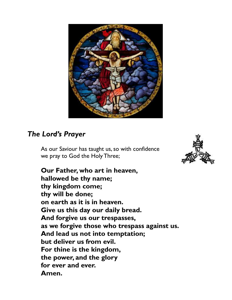

## *The Lord's Prayer*

As our Saviour has taught us, so with confidence we pray to God the Holy Three;



**Our Father, who art in heaven, hallowed be thy name; thy kingdom come; thy will be done; on earth as it is in heaven. Give us this day our daily bread. And forgive us our trespasses, as we forgive those who trespass against us. And lead us not into temptation; but deliver us from evil. For thine is the kingdom, the power, and the glory for ever and ever. Amen.**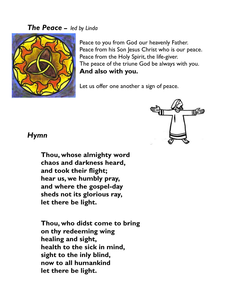#### *The Peace* **–** *led by Linda*



Peace to you from God our heavenly Father. Peace from his Son Jesus Christ who is our peace. Peace from the Holy Spirit, the life-giver. The peace of the triune God be always with you. **And also with you.**

Let us offer one another a sign of peace.



#### *Hymn*

**Thou, whose almighty word chaos and darkness heard, and took their flight; hear us, we humbly pray, and where the gospel-day sheds not its glorious ray, let there be light.**

**Thou, who didst come to bring on thy redeeming wing healing and sight, health to the sick in mind, sight to the inly blind, now to all humankind let there be light.**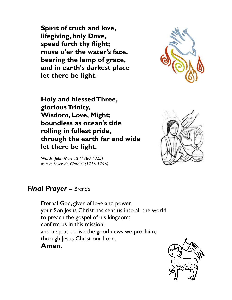**Spirit of truth and love, lifegiving, holy Dove, speed forth thy flight; move o'er the water's face, bearing the lamp of grace, and in earth's darkest place let there be light.**



**Holy and blessed Three, glorious Trinity, Wisdom, Love, Might; boundless as ocean's tide rolling in fullest pride, through the earth far and wide let there be light.** 



*Words: John Marriott (1780-1825) Music: Felice de Giardini (1716-1796)*

## *Final Prayer* **–** *Brenda*

Eternal God, giver of love and power, your Son Jesus Christ has sent us into all the world to preach the gospel of his kingdom: confirm us in this mission, and help us to live the good news we proclaim; through Jesus Christ our Lord. **Amen.**